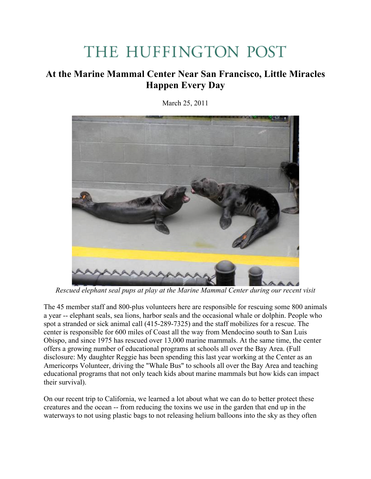## THE HUFFINGTON POST

## **At the Marine Mammal Center Near San Francisco, Little Miracles Happen Every Day**

March 25, 2011



*Rescued elephant seal pups at play at the Marine Mammal Center during our recent visit*

The 45 member staff and 800-plus volunteers here are responsible for rescuing some 800 animals a year -- elephant seals, sea lions, harbor seals and the occasional whale or dolphin. People who spot a stranded or sick animal call (415-289-7325) and the staff mobilizes for a rescue. The center is responsible for 600 miles of Coast all the way from Mendocino south to San Luis Obispo, and since 1975 has rescued over 13,000 marine mammals. At the same time, the center offers a growing number of educational programs at schools all over the Bay Area. (Full disclosure: My daughter Reggie has been spending this last year working at the Center as an Americorps Volunteer, driving the "Whale Bus" to schools all over the Bay Area and teaching educational programs that not only teach kids about marine mammals but how kids can impact their survival).

On our recent trip to California, we learned a lot about what we can do to better protect these creatures and the ocean -- from reducing the toxins we use in the garden that end up in the waterways to not using plastic bags to not releasing helium balloons into the sky as they often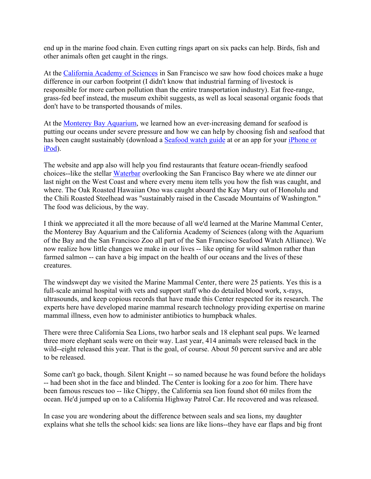end up in the marine food chain. Even cutting rings apart on six packs can help. Birds, fish and other animals often get caught in the rings.

At the California Academy of Sciences in San Francisco we saw how food choices make a huge difference in our carbon footprint (I didn't know that industrial farming of livestock is responsible for more carbon pollution than the entire transportation industry). Eat free-range, grass-fed beef instead, the museum exhibit suggests, as well as local seasonal organic foods that don't have to be transported thousands of miles.

At the Monterey Bay Aquarium, we learned how an ever-increasing demand for seafood is putting our oceans under severe pressure and how we can help by choosing fish and seafood that has been caught sustainably (download a Seafood watch guide at or an app for your iPhone or iPod).

The website and app also will help you find restaurants that feature ocean-friendly seafood choices--like the stellar Waterbar overlooking the San Francisco Bay where we ate dinner our last night on the West Coast and where every menu item tells you how the fish was caught, and where. The Oak Roasted Hawaiian Ono was caught aboard the Kay Mary out of Honolulu and the Chili Roasted Steelhead was "sustainably raised in the Cascade Mountains of Washington." The food was delicious, by the way.

I think we appreciated it all the more because of all we'd learned at the Marine Mammal Center, the Monterey Bay Aquarium and the California Academy of Sciences (along with the Aquarium of the Bay and the San Francisco Zoo all part of the San Francisco Seafood Watch Alliance). We now realize how little changes we make in our lives -- like opting for wild salmon rather than farmed salmon -- can have a big impact on the health of our oceans and the lives of these creatures.

The windswept day we visited the Marine Mammal Center, there were 25 patients. Yes this is a full-scale animal hospital with vets and support staff who do detailed blood work, x-rays, ultrasounds, and keep copious records that have made this Center respected for its research. The experts here have developed marine mammal research technology providing expertise on marine mammal illness, even how to administer antibiotics to humpback whales.

There were three California Sea Lions, two harbor seals and 18 elephant seal pups. We learned three more elephant seals were on their way. Last year, 414 animals were released back in the wild--eight released this year. That is the goal, of course. About 50 percent survive and are able to be released.

Some can't go back, though. Silent Knight -- so named because he was found before the holidays -- had been shot in the face and blinded. The Center is looking for a zoo for him. There have been famous rescues too -- like Chippy, the California sea lion found shot 60 miles from the ocean. He'd jumped up on to a California Highway Patrol Car. He recovered and was released.

In case you are wondering about the difference between seals and sea lions, my daughter explains what she tells the school kids: sea lions are like lions--they have ear flaps and big front